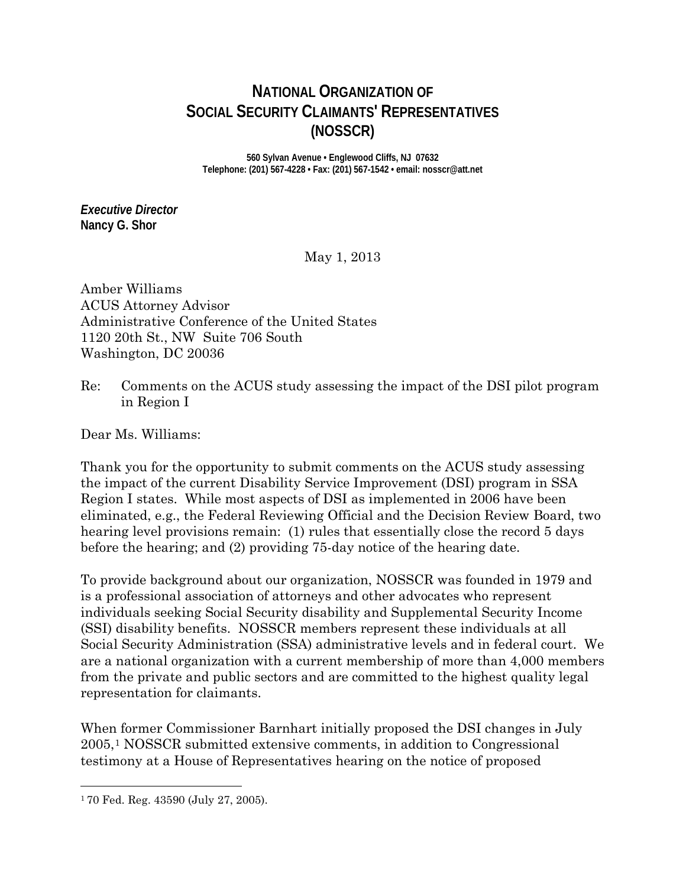# **NATIONAL ORGANIZATION OF SOCIAL SECURITY CLAIMANTS' REPRESENTATIVES (NOSSCR)**

**560 Sylvan Avenue • Englewood Cliffs, NJ 07632 Telephone: (201) 567-4228 • Fax: (201) 567-1542 • email: nosscr@att.net**

*Executive Director* **Nancy G. Shor**

May 1, 2013

Amber Williams ACUS Attorney Advisor Administrative Conference of the United States 1120 20th St., NW Suite 706 South Washington, DC 20036

Re: Comments on the ACUS study assessing the impact of the DSI pilot program in Region I

Dear Ms. Williams:

Thank you for the opportunity to submit comments on the ACUS study assessing the impact of the current Disability Service Improvement (DSI) program in SSA Region I states. While most aspects of DSI as implemented in 2006 have been eliminated, e.g., the Federal Reviewing Official and the Decision Review Board, two hearing level provisions remain: (1) rules that essentially close the record 5 days before the hearing; and (2) providing 75-day notice of the hearing date.

To provide background about our organization, NOSSCR was founded in 1979 and is a professional association of attorneys and other advocates who represent individuals seeking Social Security disability and Supplemental Security Income (SSI) disability benefits. NOSSCR members represent these individuals at all Social Security Administration (SSA) administrative levels and in federal court. We are a national organization with a current membership of more than 4,000 members from the private and public sectors and are committed to the highest quality legal representation for claimants.

When former Commissioner Barnhart initially proposed the DSI changes in July 2005,[1](#page-0-0) NOSSCR submitted extensive comments, in addition to Congressional testimony at a House of Representatives hearing on the notice of proposed

 $\overline{a}$ 

<span id="page-0-0"></span><sup>1</sup> 70 Fed. Reg. 43590 (July 27, 2005).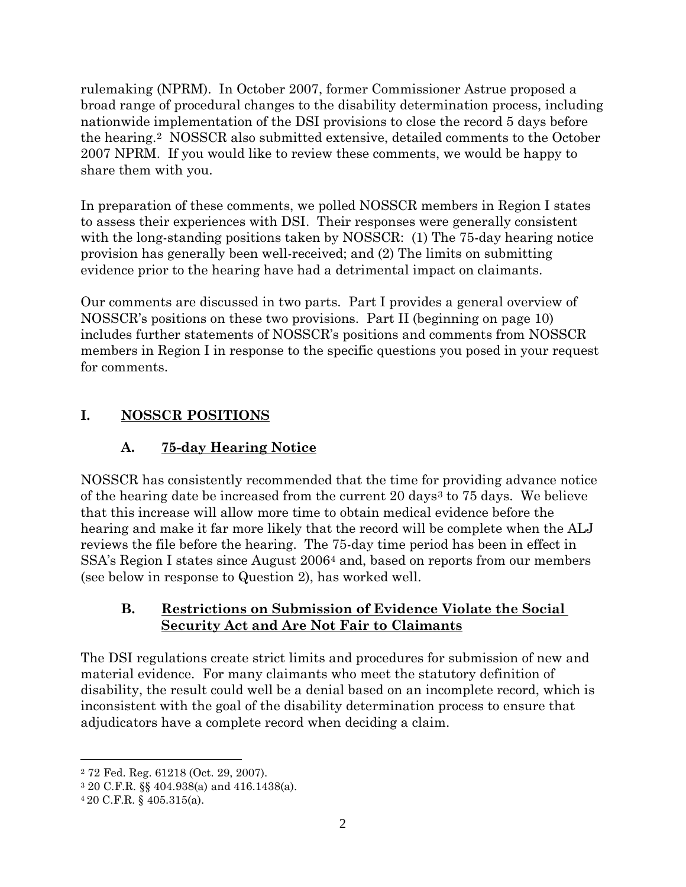rulemaking (NPRM). In October 2007, former Commissioner Astrue proposed a broad range of procedural changes to the disability determination process, including nationwide implementation of the DSI provisions to close the record 5 days before the hearing.[2](#page-1-0) NOSSCR also submitted extensive, detailed comments to the October 2007 NPRM. If you would like to review these comments, we would be happy to share them with you.

In preparation of these comments, we polled NOSSCR members in Region I states to assess their experiences with DSI. Their responses were generally consistent with the long-standing positions taken by NOSSCR: (1) The 75-day hearing notice provision has generally been well-received; and (2) The limits on submitting evidence prior to the hearing have had a detrimental impact on claimants.

Our comments are discussed in two parts. Part I provides a general overview of NOSSCR's positions on these two provisions. Part II (beginning on page 10) includes further statements of NOSSCR's positions and comments from NOSSCR members in Region I in response to the specific questions you posed in your request for comments.

# **I. NOSSCR POSITIONS**

# **A. 75-day Hearing Notice**

NOSSCR has consistently recommended that the time for providing advance notice of the hearing date be increased from the current 20 days<sup>[3](#page-1-1)</sup> to 75 days. We believe that this increase will allow more time to obtain medical evidence before the hearing and make it far more likely that the record will be complete when the ALJ reviews the file before the hearing. The 75-day time period has been in effect in SSA's Region I states since August 2006[4](#page-1-2) and, based on reports from our members (see below in response to Question 2), has worked well.

## **B. Restrictions on Submission of Evidence Violate the Social Security Act and Are Not Fair to Claimants**

The DSI regulations create strict limits and procedures for submission of new and material evidence. For many claimants who meet the statutory definition of disability, the result could well be a denial based on an incomplete record, which is inconsistent with the goal of the disability determination process to ensure that adjudicators have a complete record when deciding a claim.

 $\overline{a}$ 

<span id="page-1-0"></span><sup>2</sup> 72 Fed. Reg. 61218 (Oct. 29, 2007).

<span id="page-1-1"></span><sup>3</sup> 20 C.F.R. §§ 404.938(a) and 416.1438(a).

<span id="page-1-2"></span><sup>4</sup> 20 C.F.R. § 405.315(a).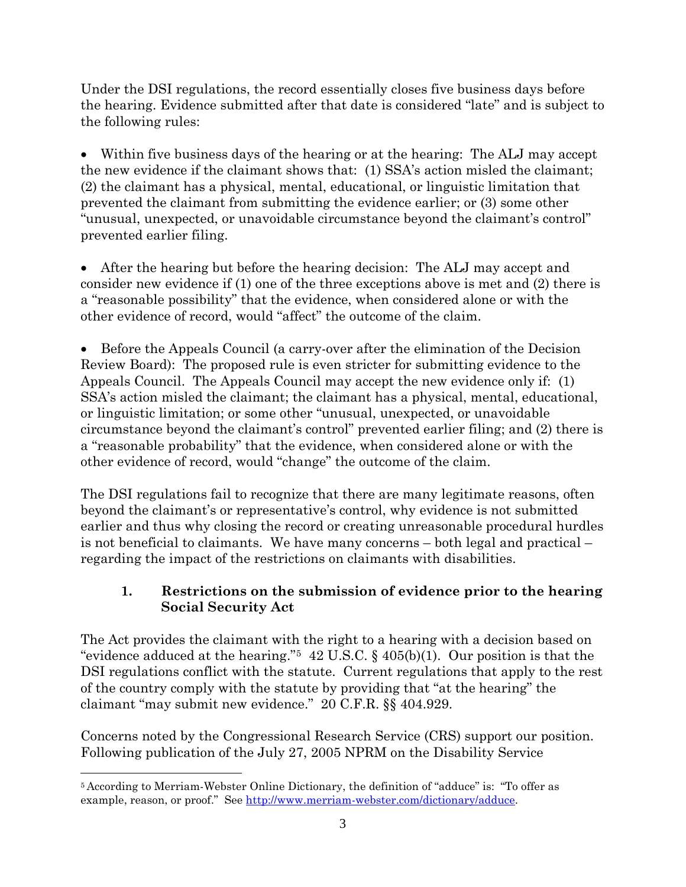Under the DSI regulations, the record essentially closes five business days before the hearing. Evidence submitted after that date is considered "late" and is subject to the following rules:

• Within five business days of the hearing or at the hearing: The ALJ may accept the new evidence if the claimant shows that: (1) SSA's action misled the claimant; (2) the claimant has a physical, mental, educational, or linguistic limitation that prevented the claimant from submitting the evidence earlier; or (3) some other "unusual, unexpected, or unavoidable circumstance beyond the claimant's control" prevented earlier filing.

• After the hearing but before the hearing decision: The ALJ may accept and consider new evidence if (1) one of the three exceptions above is met and (2) there is a "reasonable possibility" that the evidence, when considered alone or with the other evidence of record, would "affect" the outcome of the claim.

• Before the Appeals Council (a carry-over after the elimination of the Decision Review Board): The proposed rule is even stricter for submitting evidence to the Appeals Council. The Appeals Council may accept the new evidence only if: (1) SSA's action misled the claimant; the claimant has a physical, mental, educational, or linguistic limitation; or some other "unusual, unexpected, or unavoidable circumstance beyond the claimant's control" prevented earlier filing; and (2) there is a "reasonable probability" that the evidence, when considered alone or with the other evidence of record, would "change" the outcome of the claim.

The DSI regulations fail to recognize that there are many legitimate reasons, often beyond the claimant's or representative's control, why evidence is not submitted earlier and thus why closing the record or creating unreasonable procedural hurdles is not beneficial to claimants. We have many concerns – both legal and practical – regarding the impact of the restrictions on claimants with disabilities.

## **1. Restrictions on the submission of evidence prior to the hearing Social Security Act**

The Act provides the claimant with the right to a hearing with a decision based on "evidence adduced at the hearing."<sup>5</sup> 42 U.S.C.  $\S$  405(b)(1). Our position is that the DSI regulations conflict with the statute. Current regulations that apply to the rest of the country comply with the statute by providing that "at the hearing" the claimant "may submit new evidence." 20 C.F.R. §§ 404.929.

Concerns noted by the Congressional Research Service (CRS) support our position. Following publication of the July 27, 2005 NPRM on the Disability Service

<span id="page-2-0"></span> $\overline{a}$ <sup>5</sup> According to Merriam-Webster Online Dictionary, the definition of "adduce" is: "To offer as example, reason, or proof." See [http://www.merriam-webster.com/dictionary/adduce.](http://www.merriam-webster.com/dictionary/adduce)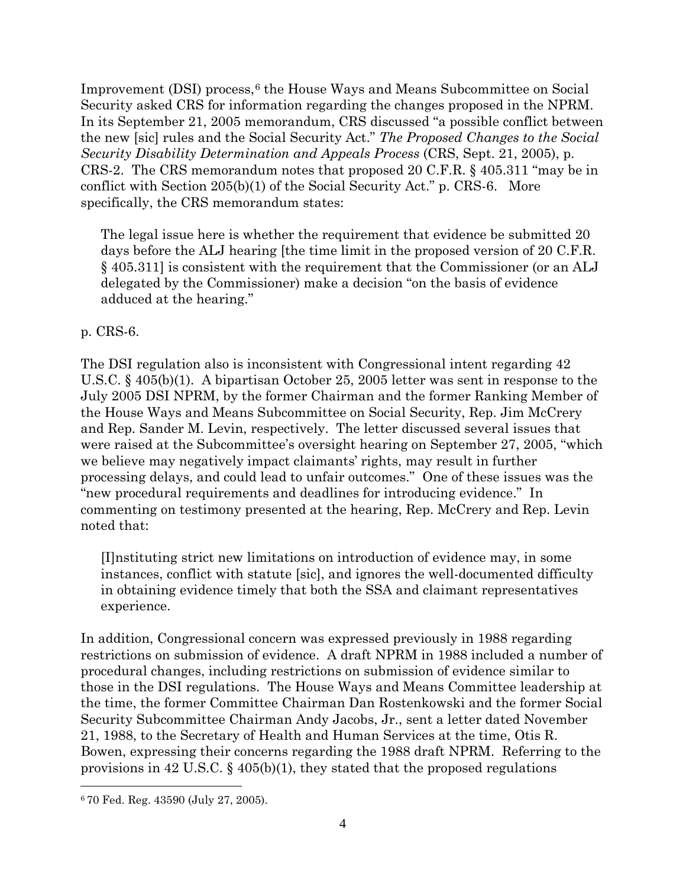Improvement  $(DSI)$  process,  $6$  the House Ways and Means Subcommittee on Social Security asked CRS for information regarding the changes proposed in the NPRM. In its September 21, 2005 memorandum, CRS discussed "a possible conflict between the new [sic] rules and the Social Security Act." *The Proposed Changes to the Social Security Disability Determination and Appeals Process* (CRS, Sept. 21, 2005), p. CRS-2. The CRS memorandum notes that proposed 20 C.F.R. § 405.311 "may be in conflict with Section 205(b)(1) of the Social Security Act." p. CRS-6. More specifically, the CRS memorandum states:

The legal issue here is whether the requirement that evidence be submitted 20 days before the ALJ hearing [the time limit in the proposed version of 20 C.F.R. § 405.311] is consistent with the requirement that the Commissioner (or an ALJ delegated by the Commissioner) make a decision "on the basis of evidence adduced at the hearing."

p. CRS-6.

The DSI regulation also is inconsistent with Congressional intent regarding 42 U.S.C. § 405(b)(1). A bipartisan October 25, 2005 letter was sent in response to the July 2005 DSI NPRM, by the former Chairman and the former Ranking Member of the House Ways and Means Subcommittee on Social Security, Rep. Jim McCrery and Rep. Sander M. Levin, respectively. The letter discussed several issues that were raised at the Subcommittee's oversight hearing on September 27, 2005, "which we believe may negatively impact claimants' rights, may result in further processing delays, and could lead to unfair outcomes." One of these issues was the "new procedural requirements and deadlines for introducing evidence." In commenting on testimony presented at the hearing, Rep. McCrery and Rep. Levin noted that:

[I]nstituting strict new limitations on introduction of evidence may, in some instances, conflict with statute [sic], and ignores the well-documented difficulty in obtaining evidence timely that both the SSA and claimant representatives experience.

In addition, Congressional concern was expressed previously in 1988 regarding restrictions on submission of evidence. A draft NPRM in 1988 included a number of procedural changes, including restrictions on submission of evidence similar to those in the DSI regulations. The House Ways and Means Committee leadership at the time, the former Committee Chairman Dan Rostenkowski and the former Social Security Subcommittee Chairman Andy Jacobs, Jr., sent a letter dated November 21, 1988, to the Secretary of Health and Human Services at the time, Otis R. Bowen, expressing their concerns regarding the 1988 draft NPRM. Referring to the provisions in 42 U.S.C.  $\S$  405(b)(1), they stated that the proposed regulations

<span id="page-3-0"></span> $\overline{a}$ <sup>6</sup> 70 Fed. Reg. 43590 (July 27, 2005).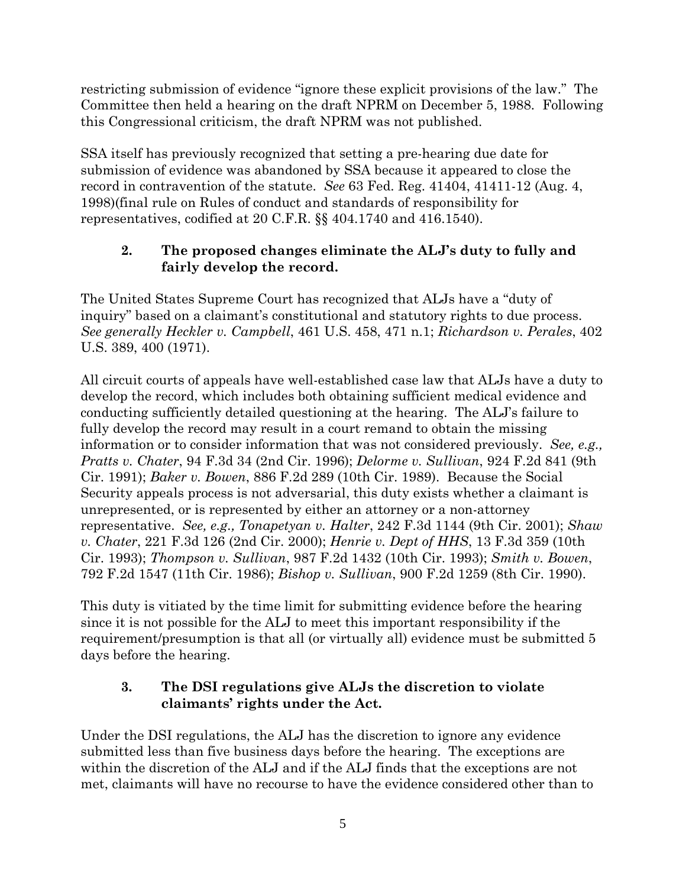restricting submission of evidence "ignore these explicit provisions of the law." The Committee then held a hearing on the draft NPRM on December 5, 1988. Following this Congressional criticism, the draft NPRM was not published.

SSA itself has previously recognized that setting a pre-hearing due date for submission of evidence was abandoned by SSA because it appeared to close the record in contravention of the statute. *See* 63 Fed. Reg. 41404, 41411-12 (Aug. 4, 1998)(final rule on Rules of conduct and standards of responsibility for representatives, codified at 20 C.F.R. §§ 404.1740 and 416.1540).

## **2. The proposed changes eliminate the ALJ's duty to fully and fairly develop the record.**

The United States Supreme Court has recognized that ALJs have a "duty of inquiry" based on a claimant's constitutional and statutory rights to due process. *See generally Heckler v. Campbell*, 461 U.S. 458, 471 n.1; *Richardson v. Perales*, 402 U.S. 389, 400 (1971).

All circuit courts of appeals have well-established case law that ALJs have a duty to develop the record, which includes both obtaining sufficient medical evidence and conducting sufficiently detailed questioning at the hearing. The ALJ's failure to fully develop the record may result in a court remand to obtain the missing information or to consider information that was not considered previously. *See, e.g., Pratts v. Chater*, 94 F.3d 34 (2nd Cir. 1996); *Delorme v. Sullivan*, 924 F.2d 841 (9th Cir. 1991); *Baker v. Bowen*, 886 F.2d 289 (10th Cir. 1989). Because the Social Security appeals process is not adversarial, this duty exists whether a claimant is unrepresented, or is represented by either an attorney or a non-attorney representative. *See, e.g., Tonapetyan v. Halter*, 242 F.3d 1144 (9th Cir. 2001); *Shaw v. Chater*, 221 F.3d 126 (2nd Cir. 2000); *Henrie v. Dept of HHS*, 13 F.3d 359 (10th Cir. 1993); *Thompson v. Sullivan*, 987 F.2d 1432 (10th Cir. 1993); *Smith v. Bowen*, 792 F.2d 1547 (11th Cir. 1986); *Bishop v. Sullivan*, 900 F.2d 1259 (8th Cir. 1990).

This duty is vitiated by the time limit for submitting evidence before the hearing since it is not possible for the ALJ to meet this important responsibility if the requirement/presumption is that all (or virtually all) evidence must be submitted 5 days before the hearing.

## **3. The DSI regulations give ALJs the discretion to violate claimants' rights under the Act.**

Under the DSI regulations, the ALJ has the discretion to ignore any evidence submitted less than five business days before the hearing. The exceptions are within the discretion of the ALJ and if the ALJ finds that the exceptions are not met, claimants will have no recourse to have the evidence considered other than to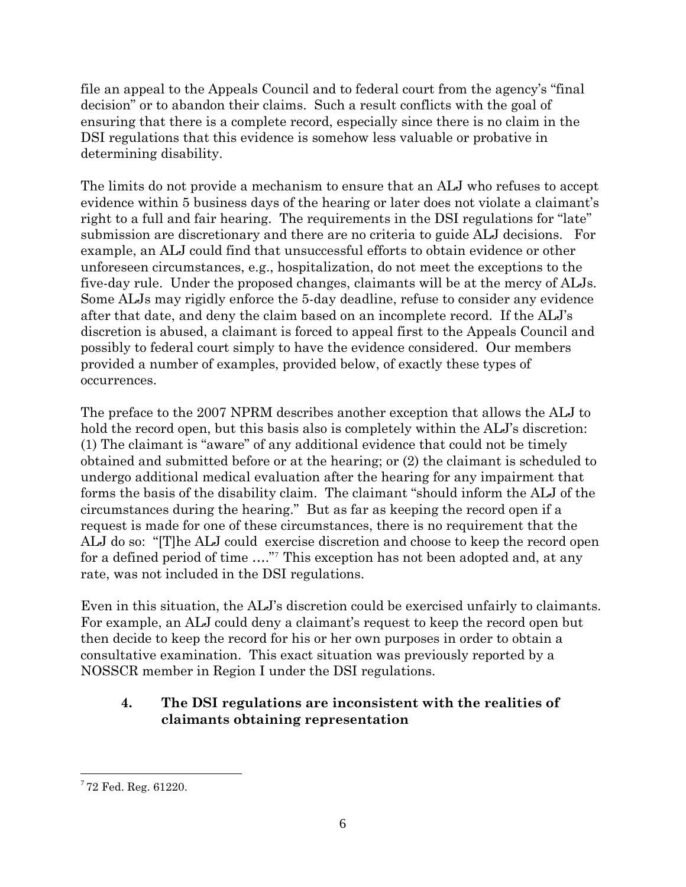file an appeal to the Appeals Council and to federal court from the agency's "final decision" or to abandon their claims. Such a result conflicts with the goal of ensuring that there is a complete record, especially since there is no claim in the DSI regulations that this evidence is somehow less valuable or probative in determining disability.

The limits do not provide a mechanism to ensure that an ALJ who refuses to accept evidence within 5 business days of the hearing or later does not violate a claimant's right to a full and fair hearing. The requirements in the DSI regulations for "late" submission are discretionary and there are no criteria to guide ALJ decisions. For example, an ALJ could find that unsuccessful efforts to obtain evidence or other unforeseen circumstances, e.g., hospitalization, do not meet the exceptions to the five-day rule. Under the proposed changes, claimants will be at the mercy of ALJs. Some ALJs may rigidly enforce the 5-day deadline, refuse to consider any evidence after that date, and deny the claim based on an incomplete record. If the ALJ's discretion is abused, a claimant is forced to appeal first to the Appeals Council and possibly to federal court simply to have the evidence considered. Our members provided a number of examples, provided below, of exactly these types of occurrences.

The preface to the 2007 NPRM describes another exception that allows the ALJ to hold the record open, but this basis also is completely within the ALJ's discretion: (1) The claimant is "aware" of any additional evidence that could not be timely obtained and submitted before or at the hearing; or (2) the claimant is scheduled to undergo additional medical evaluation after the hearing for any impairment that forms the basis of the disability claim. The claimant "should inform the ALJ of the circumstances during the hearing." But as far as keeping the record open if a request is made for one of these circumstances, there is no requirement that the ALJ do so: "[T]he ALJ could exercise discretion and choose to keep the record open for a defined period of time …."[7](#page-5-0) This exception has not been adopted and, at any rate, was not included in the DSI regulations.

Even in this situation, the ALJ's discretion could be exercised unfairly to claimants. For example, an ALJ could deny a claimant's request to keep the record open but then decide to keep the record for his or her own purposes in order to obtain a consultative examination. This exact situation was previously reported by a NOSSCR member in Region I under the DSI regulations.

## **4. The DSI regulations are inconsistent with the realities of claimants obtaining representation**

<span id="page-5-0"></span> <sup>7</sup> 72 Fed. Reg. 61220.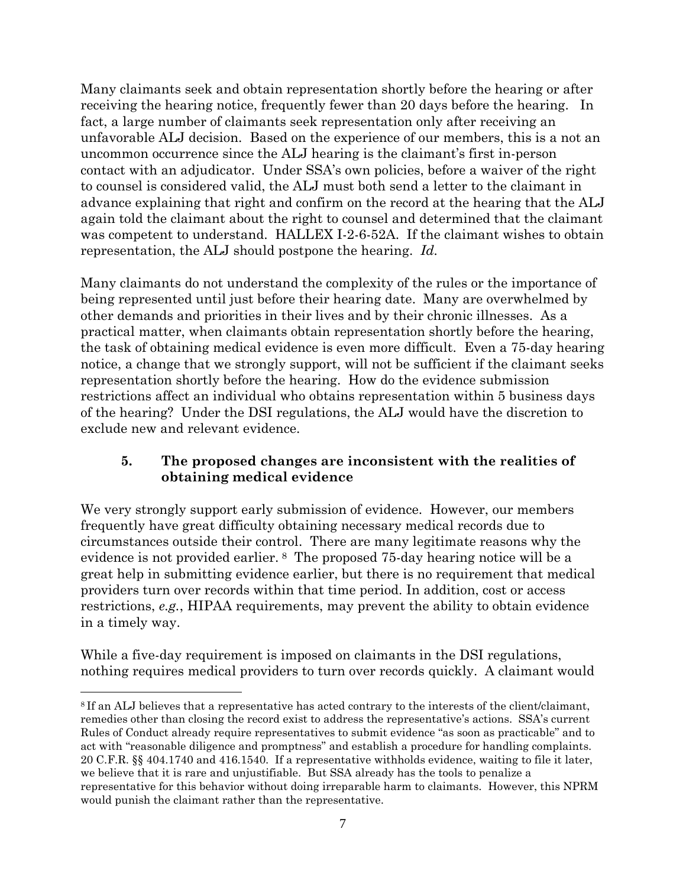Many claimants seek and obtain representation shortly before the hearing or after receiving the hearing notice, frequently fewer than 20 days before the hearing. In fact, a large number of claimants seek representation only after receiving an unfavorable ALJ decision. Based on the experience of our members, this is a not an uncommon occurrence since the ALJ hearing is the claimant's first in-person contact with an adjudicator. Under SSA's own policies, before a waiver of the right to counsel is considered valid, the ALJ must both send a letter to the claimant in advance explaining that right and confirm on the record at the hearing that the ALJ again told the claimant about the right to counsel and determined that the claimant was competent to understand. HALLEX I-2-6-52A. If the claimant wishes to obtain representation, the ALJ should postpone the hearing. *Id.*

Many claimants do not understand the complexity of the rules or the importance of being represented until just before their hearing date. Many are overwhelmed by other demands and priorities in their lives and by their chronic illnesses. As a practical matter, when claimants obtain representation shortly before the hearing, the task of obtaining medical evidence is even more difficult. Even a 75-day hearing notice, a change that we strongly support, will not be sufficient if the claimant seeks representation shortly before the hearing. How do the evidence submission restrictions affect an individual who obtains representation within 5 business days of the hearing? Under the DSI regulations, the ALJ would have the discretion to exclude new and relevant evidence.

## **5. The proposed changes are inconsistent with the realities of obtaining medical evidence**

We very strongly support early submission of evidence. However, our members frequently have great difficulty obtaining necessary medical records due to circumstances outside their control. There are many legitimate reasons why the evidence is not provided earlier. [8](#page-6-0) The proposed 75-day hearing notice will be a great help in submitting evidence earlier, but there is no requirement that medical providers turn over records within that time period. In addition, cost or access restrictions, *e.g.*, HIPAA requirements, may prevent the ability to obtain evidence in a timely way.

While a five-day requirement is imposed on claimants in the DSI regulations, nothing requires medical providers to turn over records quickly. A claimant would

<span id="page-6-0"></span> $\overline{a}$ <sup>8</sup> If an ALJ believes that a representative has acted contrary to the interests of the client/claimant, remedies other than closing the record exist to address the representative's actions. SSA's current Rules of Conduct already require representatives to submit evidence "as soon as practicable" and to act with "reasonable diligence and promptness" and establish a procedure for handling complaints. 20 C.F.R. §§ 404.1740 and 416.1540. If a representative withholds evidence, waiting to file it later, we believe that it is rare and unjustifiable. But SSA already has the tools to penalize a representative for this behavior without doing irreparable harm to claimants. However, this NPRM would punish the claimant rather than the representative.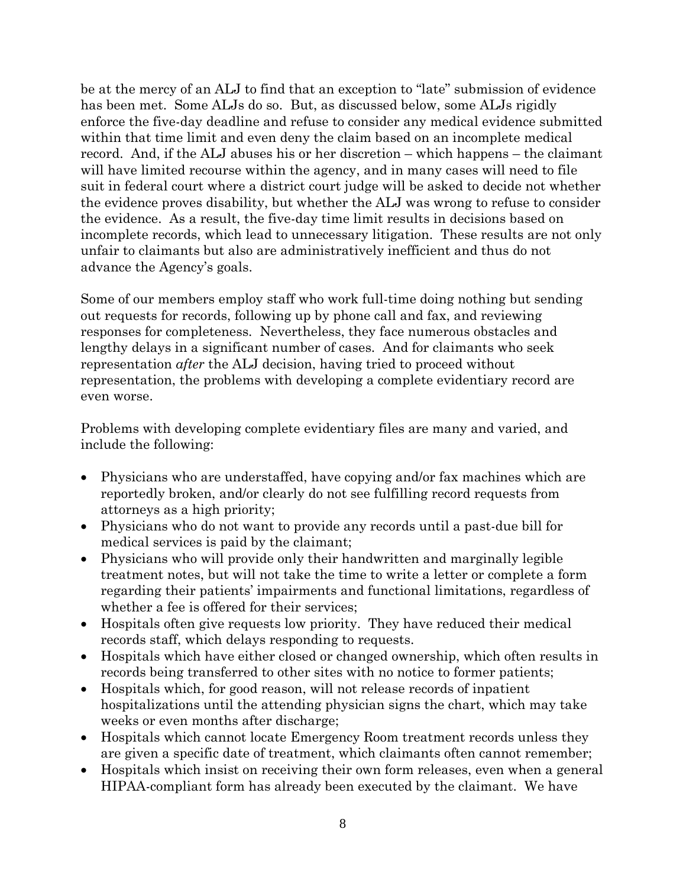be at the mercy of an ALJ to find that an exception to "late" submission of evidence has been met. Some ALJs do so. But, as discussed below, some ALJs rigidly enforce the five-day deadline and refuse to consider any medical evidence submitted within that time limit and even deny the claim based on an incomplete medical record. And, if the ALJ abuses his or her discretion – which happens – the claimant will have limited recourse within the agency, and in many cases will need to file suit in federal court where a district court judge will be asked to decide not whether the evidence proves disability, but whether the ALJ was wrong to refuse to consider the evidence. As a result, the five-day time limit results in decisions based on incomplete records, which lead to unnecessary litigation. These results are not only unfair to claimants but also are administratively inefficient and thus do not advance the Agency's goals.

Some of our members employ staff who work full-time doing nothing but sending out requests for records, following up by phone call and fax, and reviewing responses for completeness. Nevertheless, they face numerous obstacles and lengthy delays in a significant number of cases. And for claimants who seek representation *after* the ALJ decision, having tried to proceed without representation, the problems with developing a complete evidentiary record are even worse.

Problems with developing complete evidentiary files are many and varied, and include the following:

- Physicians who are understaffed, have copying and/or fax machines which are reportedly broken, and/or clearly do not see fulfilling record requests from attorneys as a high priority;
- Physicians who do not want to provide any records until a past-due bill for medical services is paid by the claimant;
- Physicians who will provide only their handwritten and marginally legible treatment notes, but will not take the time to write a letter or complete a form regarding their patients' impairments and functional limitations, regardless of whether a fee is offered for their services;
- Hospitals often give requests low priority. They have reduced their medical records staff, which delays responding to requests.
- Hospitals which have either closed or changed ownership, which often results in records being transferred to other sites with no notice to former patients;
- Hospitals which, for good reason, will not release records of inpatient hospitalizations until the attending physician signs the chart, which may take weeks or even months after discharge;
- Hospitals which cannot locate Emergency Room treatment records unless they are given a specific date of treatment, which claimants often cannot remember;
- Hospitals which insist on receiving their own form releases, even when a general HIPAA-compliant form has already been executed by the claimant. We have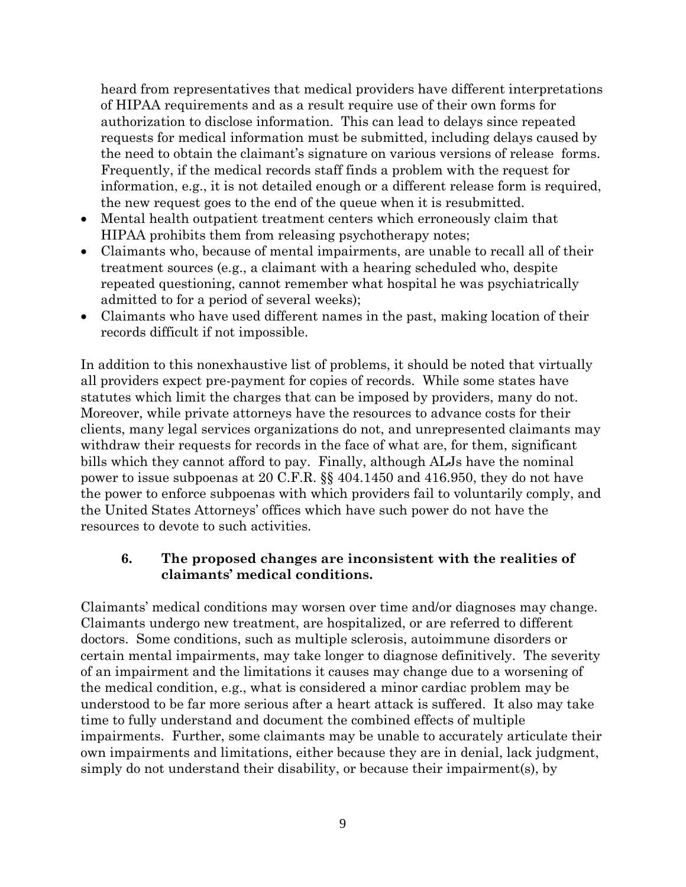heard from representatives that medical providers have different interpretations of HIPAA requirements and as a result require use of their own forms for authorization to disclose information. This can lead to delays since repeated requests for medical information must be submitted, including delays caused by the need to obtain the claimant's signature on various versions of release forms. Frequently, if the medical records staff finds a problem with the request for information, e.g., it is not detailed enough or a different release form is required, the new request goes to the end of the queue when it is resubmitted.

- Mental health outpatient treatment centers which erroneously claim that HIPAA prohibits them from releasing psychotherapy notes;
- Claimants who, because of mental impairments, are unable to recall all of their treatment sources (e.g., a claimant with a hearing scheduled who, despite repeated questioning, cannot remember what hospital he was psychiatrically admitted to for a period of several weeks);
- Claimants who have used different names in the past, making location of their records difficult if not impossible.

In addition to this nonexhaustive list of problems, it should be noted that virtually all providers expect pre-payment for copies of records. While some states have statutes which limit the charges that can be imposed by providers, many do not. Moreover, while private attorneys have the resources to advance costs for their clients, many legal services organizations do not, and unrepresented claimants may withdraw their requests for records in the face of what are, for them, significant bills which they cannot afford to pay. Finally, although ALJs have the nominal power to issue subpoenas at 20 C.F.R. §§ 404.1450 and 416.950, they do not have the power to enforce subpoenas with which providers fail to voluntarily comply, and the United States Attorneys' offices which have such power do not have the resources to devote to such activities.

#### **6. The proposed changes are inconsistent with the realities of claimants' medical conditions.**

Claimants' medical conditions may worsen over time and/or diagnoses may change. Claimants undergo new treatment, are hospitalized, or are referred to different doctors. Some conditions, such as multiple sclerosis, autoimmune disorders or certain mental impairments, may take longer to diagnose definitively. The severity of an impairment and the limitations it causes may change due to a worsening of the medical condition, e.g., what is considered a minor cardiac problem may be understood to be far more serious after a heart attack is suffered. It also may take time to fully understand and document the combined effects of multiple impairments. Further, some claimants may be unable to accurately articulate their own impairments and limitations, either because they are in denial, lack judgment, simply do not understand their disability, or because their impairment(s), by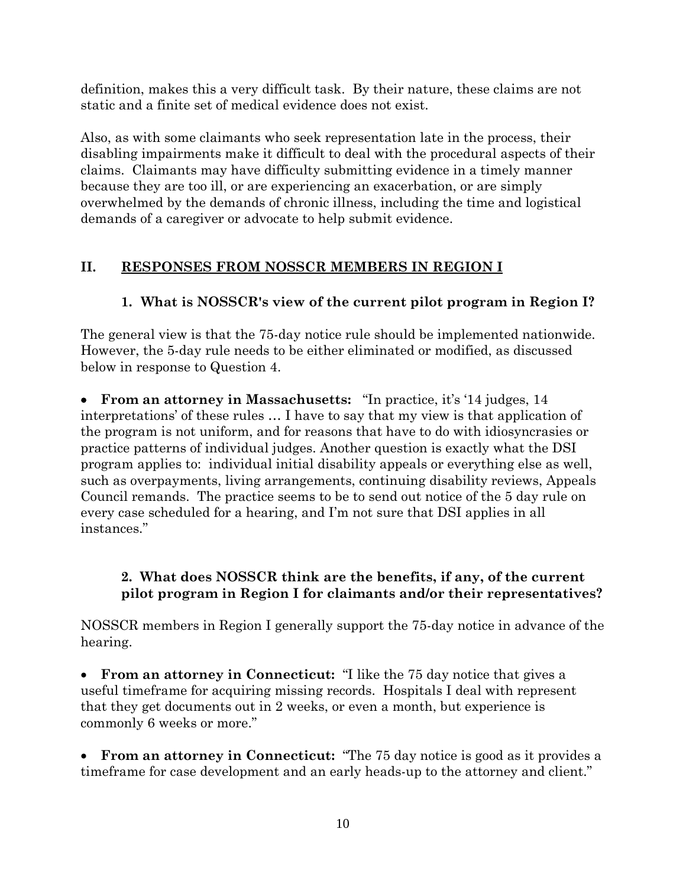definition, makes this a very difficult task. By their nature, these claims are not static and a finite set of medical evidence does not exist.

Also, as with some claimants who seek representation late in the process, their disabling impairments make it difficult to deal with the procedural aspects of their claims. Claimants may have difficulty submitting evidence in a timely manner because they are too ill, or are experiencing an exacerbation, or are simply overwhelmed by the demands of chronic illness, including the time and logistical demands of a caregiver or advocate to help submit evidence.

## **II. RESPONSES FROM NOSSCR MEMBERS IN REGION I**

## **1. What is NOSSCR's view of the current pilot program in Region I?**

The general view is that the 75-day notice rule should be implemented nationwide. However, the 5-day rule needs to be either eliminated or modified, as discussed below in response to Question 4.

• **From an attorney in Massachusetts:** "In practice, it's '14 judges, 14 interpretations' of these rules … I have to say that my view is that application of the program is not uniform, and for reasons that have to do with idiosyncrasies or practice patterns of individual judges. Another question is exactly what the DSI program applies to: individual initial disability appeals or everything else as well, such as overpayments, living arrangements, continuing disability reviews, Appeals Council remands. The practice seems to be to send out notice of the 5 day rule on every case scheduled for a hearing, and I'm not sure that DSI applies in all instances."

## **2. What does NOSSCR think are the benefits, if any, of the current pilot program in Region I for claimants and/or their representatives?**

NOSSCR members in Region I generally support the 75-day notice in advance of the hearing.

• **From an attorney in Connecticut:** "I like the 75 day notice that gives a useful timeframe for acquiring missing records. Hospitals I deal with represent that they get documents out in 2 weeks, or even a month, but experience is commonly 6 weeks or more."

• **From an attorney in Connecticut:** "The 75 day notice is good as it provides a timeframe for case development and an early heads-up to the attorney and client."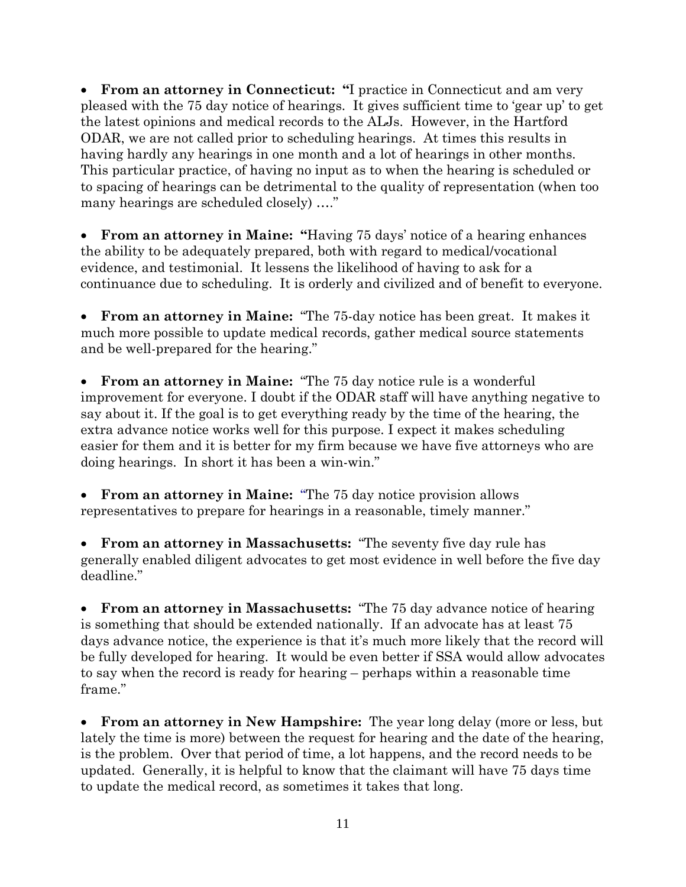• **From an attorney in Connecticut: "**I practice in Connecticut and am very pleased with the 75 day notice of hearings. It gives sufficient time to 'gear up' to get the latest opinions and medical records to the ALJs. However, in the Hartford ODAR, we are not called prior to scheduling hearings. At times this results in having hardly any hearings in one month and a lot of hearings in other months. This particular practice, of having no input as to when the hearing is scheduled or to spacing of hearings can be detrimental to the quality of representation (when too many hearings are scheduled closely) …."

• **From an attorney in Maine: "**Having 75 days' notice of a hearing enhances the ability to be adequately prepared, both with regard to medical/vocational evidence, and testimonial. It lessens the likelihood of having to ask for a continuance due to scheduling. It is orderly and civilized and of benefit to everyone.

• **From an attorney in Maine:** "The 75-day notice has been great. It makes it much more possible to update medical records, gather medical source statements and be well-prepared for the hearing."

• **From an attorney in Maine:** "The 75 day notice rule is a wonderful improvement for everyone. I doubt if the ODAR staff will have anything negative to say about it. If the goal is to get everything ready by the time of the hearing, the extra advance notice works well for this purpose. I expect it makes scheduling easier for them and it is better for my firm because we have five attorneys who are doing hearings. In short it has been a win-win."

• **From an attorney in Maine:** "The 75 day notice provision allows representatives to prepare for hearings in a reasonable, timely manner."

• **From an attorney in Massachusetts:** "The seventy five day rule has generally enabled diligent advocates to get most evidence in well before the five day deadline."

• **From an attorney in Massachusetts:** "The 75 day advance notice of hearing is something that should be extended nationally. If an advocate has at least 75 days advance notice, the experience is that it's much more likely that the record will be fully developed for hearing. It would be even better if SSA would allow advocates to say when the record is ready for hearing – perhaps within a reasonable time frame."

• **From an attorney in New Hampshire:** The year long delay (more or less, but lately the time is more) between the request for hearing and the date of the hearing, is the problem. Over that period of time, a lot happens, and the record needs to be updated. Generally, it is helpful to know that the claimant will have 75 days time to update the medical record, as sometimes it takes that long.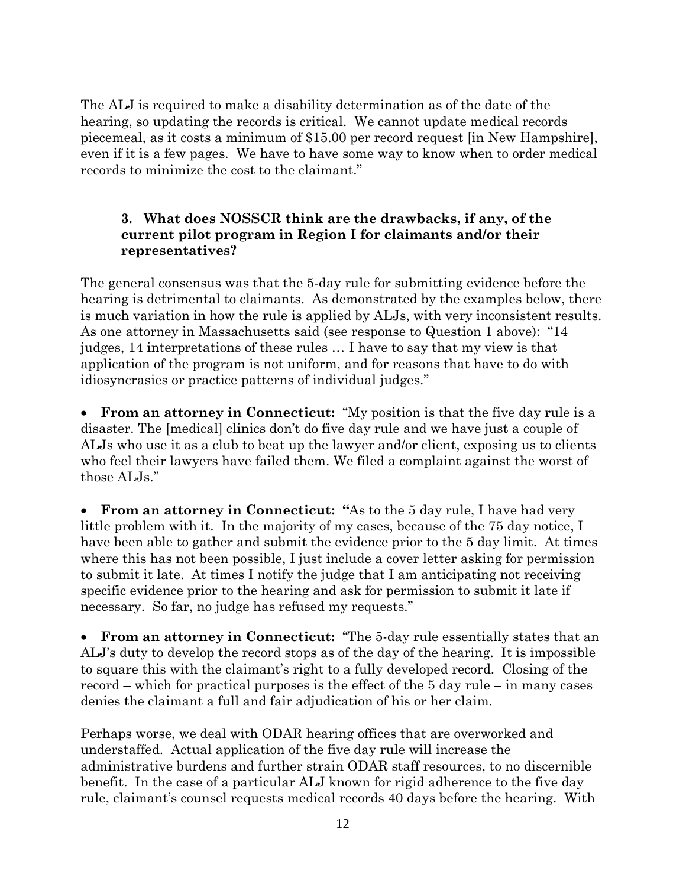The ALJ is required to make a disability determination as of the date of the hearing, so updating the records is critical. We cannot update medical records piecemeal, as it costs a minimum of \$15.00 per record request [in New Hampshire], even if it is a few pages. We have to have some way to know when to order medical records to minimize the cost to the claimant."

#### **3. What does NOSSCR think are the drawbacks, if any, of the current pilot program in Region I for claimants and/or their representatives?**

The general consensus was that the 5-day rule for submitting evidence before the hearing is detrimental to claimants. As demonstrated by the examples below, there is much variation in how the rule is applied by ALJs, with very inconsistent results. As one attorney in Massachusetts said (see response to Question 1 above): "14 judges, 14 interpretations of these rules … I have to say that my view is that application of the program is not uniform, and for reasons that have to do with idiosyncrasies or practice patterns of individual judges."

• **From an attorney in Connecticut:** "My position is that the five day rule is a disaster. The [medical] clinics don't do five day rule and we have just a couple of ALJs who use it as a club to beat up the lawyer and/or client, exposing us to clients who feel their lawyers have failed them. We filed a complaint against the worst of those ALJs."

**From an attorney in Connecticut: "As to the 5 day rule, I have had very** little problem with it. In the majority of my cases, because of the 75 day notice, I have been able to gather and submit the evidence prior to the 5 day limit. At times where this has not been possible, I just include a cover letter asking for permission to submit it late. At times I notify the judge that I am anticipating not receiving specific evidence prior to the hearing and ask for permission to submit it late if necessary. So far, no judge has refused my requests."

• **From an attorney in Connecticut:** "The 5-day rule essentially states that an ALJ's duty to develop the record stops as of the day of the hearing. It is impossible to square this with the claimant's right to a fully developed record. Closing of the record – which for practical purposes is the effect of the 5 day rule – in many cases denies the claimant a full and fair adjudication of his or her claim.

Perhaps worse, we deal with ODAR hearing offices that are overworked and understaffed. Actual application of the five day rule will increase the administrative burdens and further strain ODAR staff resources, to no discernible benefit. In the case of a particular ALJ known for rigid adherence to the five day rule, claimant's counsel requests medical records 40 days before the hearing. With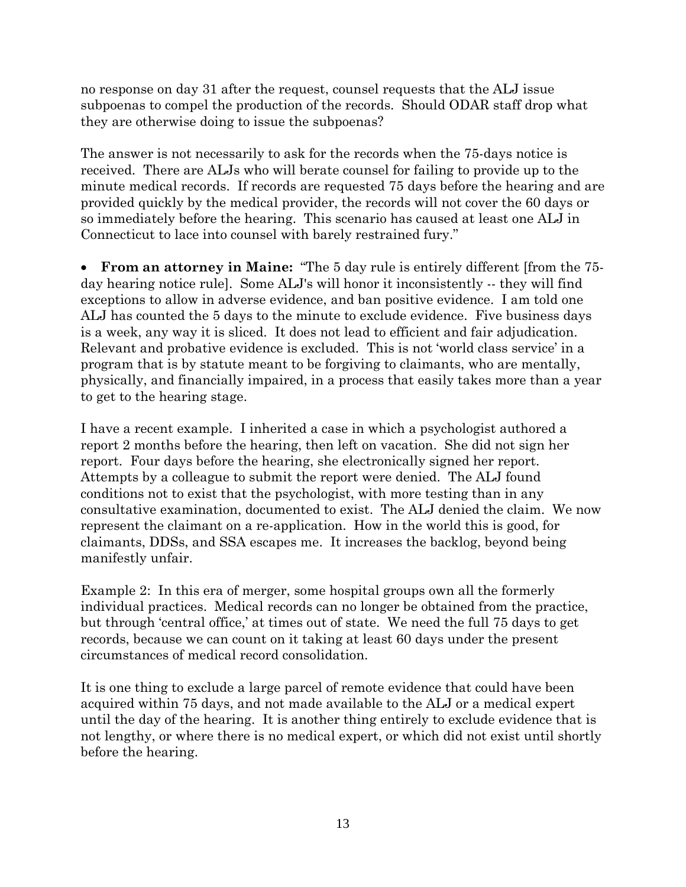no response on day 31 after the request, counsel requests that the ALJ issue subpoenas to compel the production of the records. Should ODAR staff drop what they are otherwise doing to issue the subpoenas?

The answer is not necessarily to ask for the records when the 75-days notice is received. There are ALJs who will berate counsel for failing to provide up to the minute medical records. If records are requested 75 days before the hearing and are provided quickly by the medical provider, the records will not cover the 60 days or so immediately before the hearing. This scenario has caused at least one ALJ in Connecticut to lace into counsel with barely restrained fury."

• **From an attorney in Maine:** "The 5 day rule is entirely different [from the 75 day hearing notice rule]. Some ALJ's will honor it inconsistently -- they will find exceptions to allow in adverse evidence, and ban positive evidence. I am told one ALJ has counted the 5 days to the minute to exclude evidence. Five business days is a week, any way it is sliced. It does not lead to efficient and fair adjudication. Relevant and probative evidence is excluded. This is not 'world class service' in a program that is by statute meant to be forgiving to claimants, who are mentally, physically, and financially impaired, in a process that easily takes more than a year to get to the hearing stage.

I have a recent example. I inherited a case in which a psychologist authored a report 2 months before the hearing, then left on vacation. She did not sign her report. Four days before the hearing, she electronically signed her report. Attempts by a colleague to submit the report were denied. The ALJ found conditions not to exist that the psychologist, with more testing than in any consultative examination, documented to exist. The ALJ denied the claim. We now represent the claimant on a re-application. How in the world this is good, for claimants, DDSs, and SSA escapes me. It increases the backlog, beyond being manifestly unfair.

Example 2: In this era of merger, some hospital groups own all the formerly individual practices. Medical records can no longer be obtained from the practice, but through 'central office,' at times out of state. We need the full 75 days to get records, because we can count on it taking at least 60 days under the present circumstances of medical record consolidation.

It is one thing to exclude a large parcel of remote evidence that could have been acquired within 75 days, and not made available to the ALJ or a medical expert until the day of the hearing. It is another thing entirely to exclude evidence that is not lengthy, or where there is no medical expert, or which did not exist until shortly before the hearing.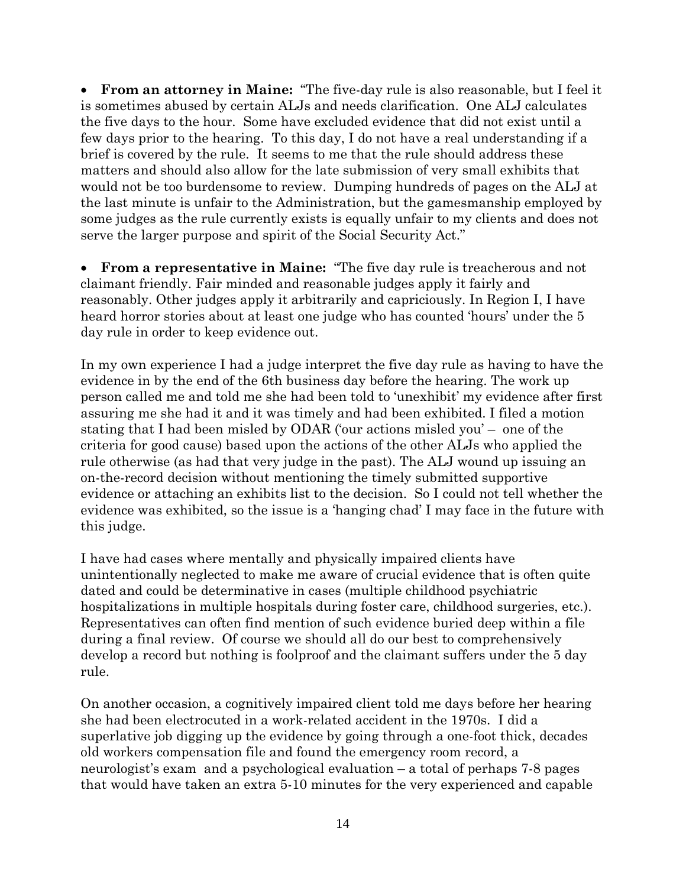• **From an attorney in Maine:** "The five-day rule is also reasonable, but I feel it is sometimes abused by certain ALJs and needs clarification. One ALJ calculates the five days to the hour. Some have excluded evidence that did not exist until a few days prior to the hearing. To this day, I do not have a real understanding if a brief is covered by the rule. It seems to me that the rule should address these matters and should also allow for the late submission of very small exhibits that would not be too burdensome to review. Dumping hundreds of pages on the ALJ at the last minute is unfair to the Administration, but the gamesmanship employed by some judges as the rule currently exists is equally unfair to my clients and does not serve the larger purpose and spirit of the Social Security Act."

• **From a representative in Maine:** "The five day rule is treacherous and not claimant friendly. Fair minded and reasonable judges apply it fairly and reasonably. Other judges apply it arbitrarily and capriciously. In Region I, I have heard horror stories about at least one judge who has counted 'hours' under the 5 day rule in order to keep evidence out.

In my own experience I had a judge interpret the five day rule as having to have the evidence in by the end of the 6th business day before the hearing. The work up person called me and told me she had been told to 'unexhibit' my evidence after first assuring me she had it and it was timely and had been exhibited. I filed a motion stating that I had been misled by ODAR ('our actions misled you' – one of the criteria for good cause) based upon the actions of the other ALJs who applied the rule otherwise (as had that very judge in the past). The ALJ wound up issuing an on-the-record decision without mentioning the timely submitted supportive evidence or attaching an exhibits list to the decision. So I could not tell whether the evidence was exhibited, so the issue is a 'hanging chad' I may face in the future with this judge.

I have had cases where mentally and physically impaired clients have unintentionally neglected to make me aware of crucial evidence that is often quite dated and could be determinative in cases (multiple childhood psychiatric hospitalizations in multiple hospitals during foster care, childhood surgeries, etc.). Representatives can often find mention of such evidence buried deep within a file during a final review. Of course we should all do our best to comprehensively develop a record but nothing is foolproof and the claimant suffers under the 5 day rule.

On another occasion, a cognitively impaired client told me days before her hearing she had been electrocuted in a work-related accident in the 1970s. I did a superlative job digging up the evidence by going through a one-foot thick, decades old workers compensation file and found the emergency room record, a neurologist's exam and a psychological evaluation – a total of perhaps 7-8 pages that would have taken an extra 5-10 minutes for the very experienced and capable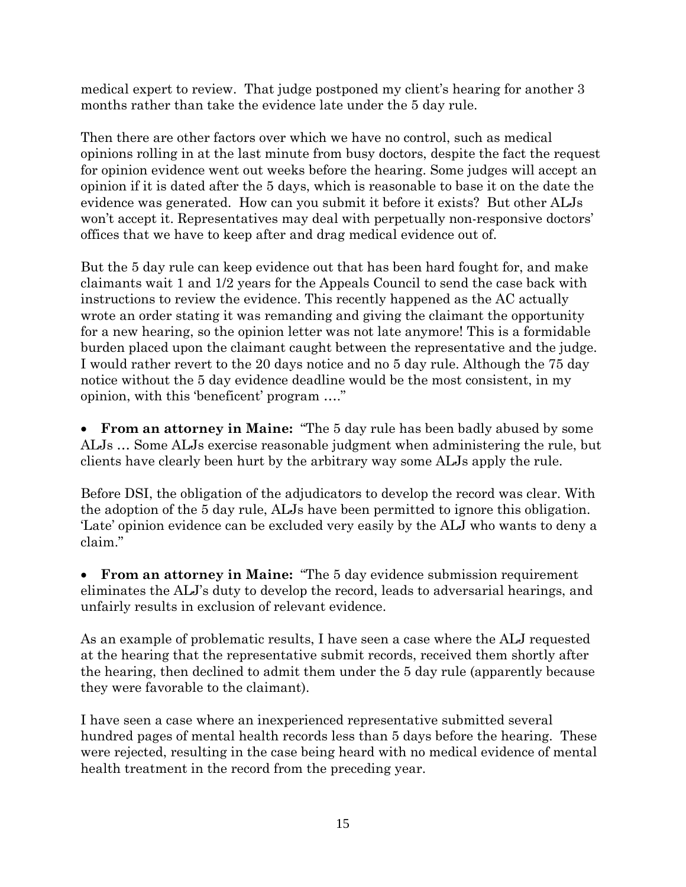medical expert to review. That judge postponed my client's hearing for another 3 months rather than take the evidence late under the 5 day rule.

Then there are other factors over which we have no control, such as medical opinions rolling in at the last minute from busy doctors, despite the fact the request for opinion evidence went out weeks before the hearing. Some judges will accept an opinion if it is dated after the 5 days, which is reasonable to base it on the date the evidence was generated. How can you submit it before it exists? But other ALJs won't accept it. Representatives may deal with perpetually non-responsive doctors' offices that we have to keep after and drag medical evidence out of.

But the 5 day rule can keep evidence out that has been hard fought for, and make claimants wait 1 and 1/2 years for the Appeals Council to send the case back with instructions to review the evidence. This recently happened as the AC actually wrote an order stating it was remanding and giving the claimant the opportunity for a new hearing, so the opinion letter was not late anymore! This is a formidable burden placed upon the claimant caught between the representative and the judge. I would rather revert to the 20 days notice and no 5 day rule. Although the 75 day notice without the 5 day evidence deadline would be the most consistent, in my opinion, with this 'beneficent' program …."

• **From an attorney in Maine:** "The 5 day rule has been badly abused by some ALJs … Some ALJs exercise reasonable judgment when administering the rule, but clients have clearly been hurt by the arbitrary way some ALJs apply the rule.

Before DSI, the obligation of the adjudicators to develop the record was clear. With the adoption of the 5 day rule, ALJs have been permitted to ignore this obligation. 'Late' opinion evidence can be excluded very easily by the ALJ who wants to deny a claim."

• **From an attorney in Maine:** "The 5 day evidence submission requirement eliminates the ALJ's duty to develop the record, leads to adversarial hearings, and unfairly results in exclusion of relevant evidence.

As an example of problematic results, I have seen a case where the ALJ requested at the hearing that the representative submit records, received them shortly after the hearing, then declined to admit them under the 5 day rule (apparently because they were favorable to the claimant).

I have seen a case where an inexperienced representative submitted several hundred pages of mental health records less than 5 days before the hearing. These were rejected, resulting in the case being heard with no medical evidence of mental health treatment in the record from the preceding year.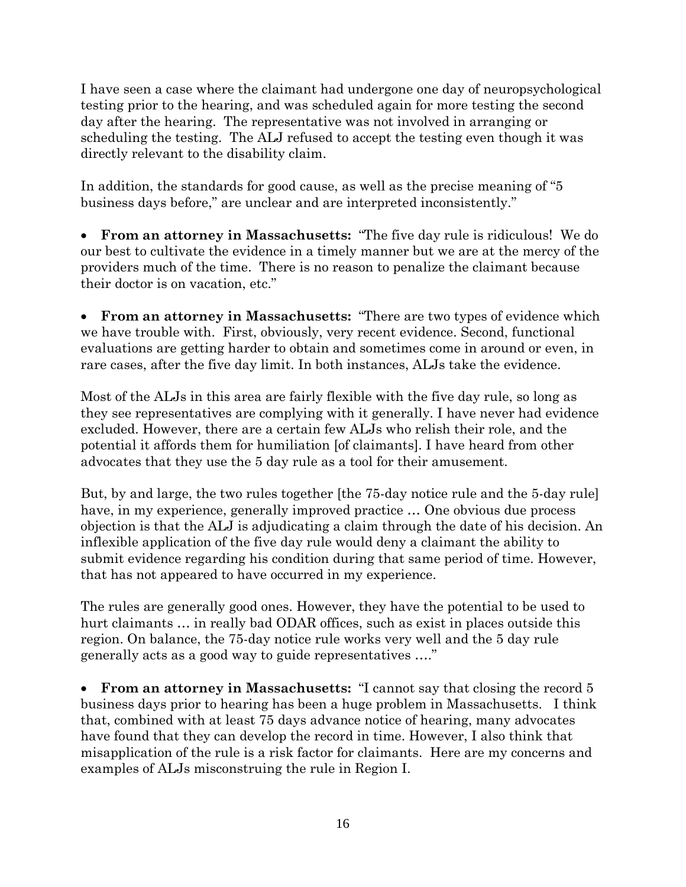I have seen a case where the claimant had undergone one day of neuropsychological testing prior to the hearing, and was scheduled again for more testing the second day after the hearing. The representative was not involved in arranging or scheduling the testing. The ALJ refused to accept the testing even though it was directly relevant to the disability claim.

In addition, the standards for good cause, as well as the precise meaning of "5 business days before," are unclear and are interpreted inconsistently."

• **From an attorney in Massachusetts:** "The five day rule is ridiculous! We do our best to cultivate the evidence in a timely manner but we are at the mercy of the providers much of the time. There is no reason to penalize the claimant because their doctor is on vacation, etc."

• **From an attorney in Massachusetts:** "There are two types of evidence which we have trouble with. First, obviously, very recent evidence. Second, functional evaluations are getting harder to obtain and sometimes come in around or even, in rare cases, after the five day limit. In both instances, ALJs take the evidence.

Most of the ALJs in this area are fairly flexible with the five day rule, so long as they see representatives are complying with it generally. I have never had evidence excluded. However, there are a certain few ALJs who relish their role, and the potential it affords them for humiliation [of claimants]. I have heard from other advocates that they use the 5 day rule as a tool for their amusement.

But, by and large, the two rules together [the 75-day notice rule and the 5-day rule] have, in my experience, generally improved practice … One obvious due process objection is that the ALJ is adjudicating a claim through the date of his decision. An inflexible application of the five day rule would deny a claimant the ability to submit evidence regarding his condition during that same period of time. However, that has not appeared to have occurred in my experience.

The rules are generally good ones. However, they have the potential to be used to hurt claimants … in really bad ODAR offices, such as exist in places outside this region. On balance, the 75-day notice rule works very well and the 5 day rule generally acts as a good way to guide representatives …."

• **From an attorney in Massachusetts:** "I cannot say that closing the record 5 business days prior to hearing has been a huge problem in Massachusetts. I think that, combined with at least 75 days advance notice of hearing, many advocates have found that they can develop the record in time. However, I also think that misapplication of the rule is a risk factor for claimants. Here are my concerns and examples of ALJs misconstruing the rule in Region I.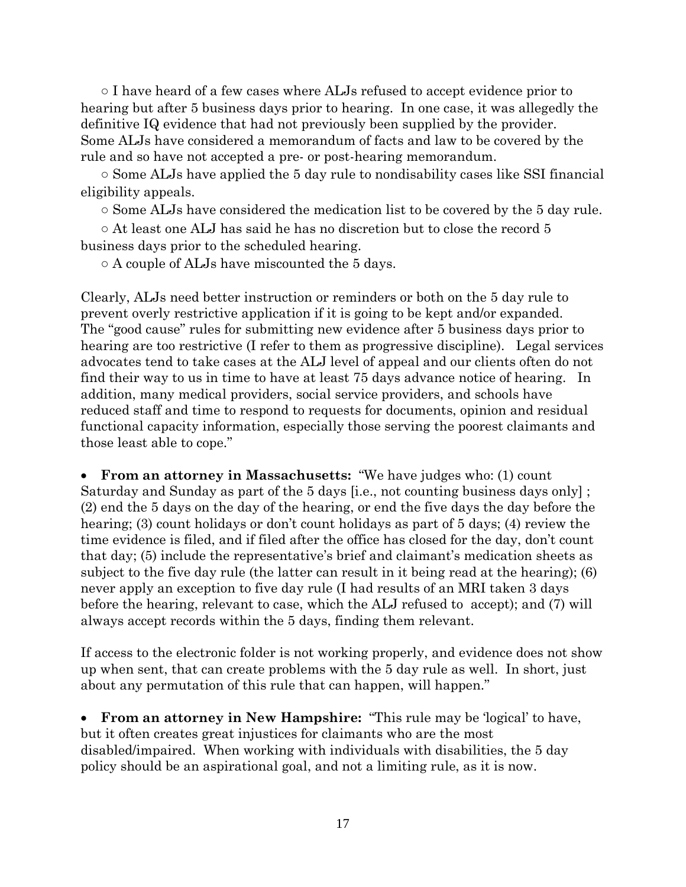○ I have heard of a few cases where ALJs refused to accept evidence prior to hearing but after 5 business days prior to hearing. In one case, it was allegedly the definitive IQ evidence that had not previously been supplied by the provider. Some ALJs have considered a memorandum of facts and law to be covered by the rule and so have not accepted a pre- or post-hearing memorandum.

○ Some ALJs have applied the 5 day rule to nondisability cases like SSI financial eligibility appeals.

○ Some ALJs have considered the medication list to be covered by the 5 day rule.

 $\circ$  At least one ALJ has said he has no discretion but to close the record 5 business days prior to the scheduled hearing.

○ A couple of ALJs have miscounted the 5 days.

Clearly, ALJs need better instruction or reminders or both on the 5 day rule to prevent overly restrictive application if it is going to be kept and/or expanded. The "good cause" rules for submitting new evidence after 5 business days prior to hearing are too restrictive (I refer to them as progressive discipline). Legal services advocates tend to take cases at the ALJ level of appeal and our clients often do not find their way to us in time to have at least 75 days advance notice of hearing. In addition, many medical providers, social service providers, and schools have reduced staff and time to respond to requests for documents, opinion and residual functional capacity information, especially those serving the poorest claimants and those least able to cope."

• **From an attorney in Massachusetts:** "We have judges who: (1) count Saturday and Sunday as part of the 5 days [i.e., not counting business days only] ; (2) end the 5 days on the day of the hearing, or end the five days the day before the hearing; (3) count holidays or don't count holidays as part of 5 days; (4) review the time evidence is filed, and if filed after the office has closed for the day, don't count that day; (5) include the representative's brief and claimant's medication sheets as subject to the five day rule (the latter can result in it being read at the hearing); (6) never apply an exception to five day rule (I had results of an MRI taken 3 days before the hearing, relevant to case, which the ALJ refused to accept); and (7) will always accept records within the 5 days, finding them relevant.

If access to the electronic folder is not working properly, and evidence does not show up when sent, that can create problems with the 5 day rule as well. In short, just about any permutation of this rule that can happen, will happen."

• **From an attorney in New Hampshire:** "This rule may be 'logical' to have, but it often creates great injustices for claimants who are the most disabled/impaired. When working with individuals with disabilities, the 5 day policy should be an aspirational goal, and not a limiting rule, as it is now.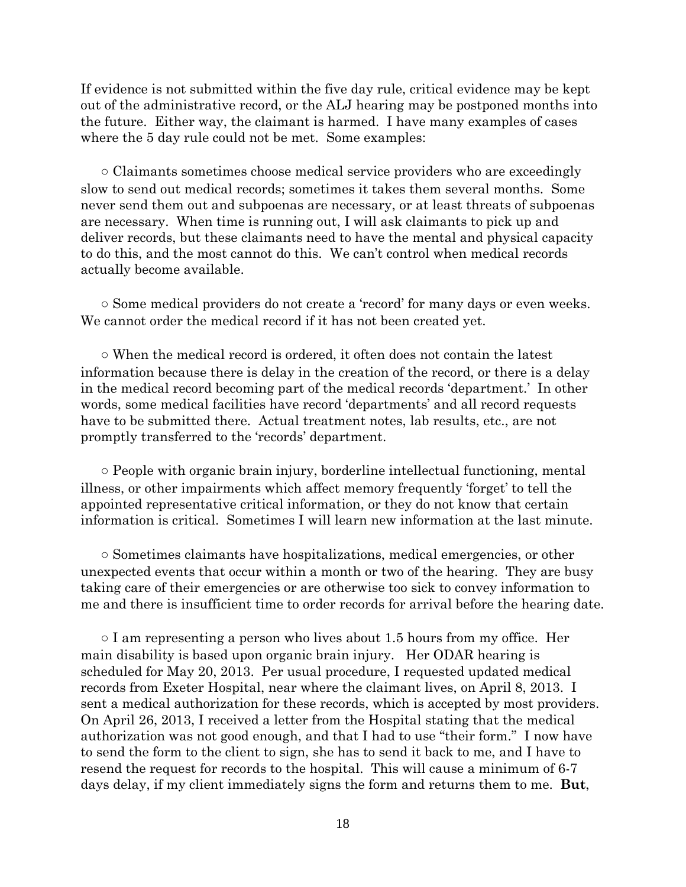If evidence is not submitted within the five day rule, critical evidence may be kept out of the administrative record, or the ALJ hearing may be postponed months into the future. Either way, the claimant is harmed. I have many examples of cases where the 5 day rule could not be met. Some examples:

○ Claimants sometimes choose medical service providers who are exceedingly slow to send out medical records; sometimes it takes them several months. Some never send them out and subpoenas are necessary, or at least threats of subpoenas are necessary. When time is running out, I will ask claimants to pick up and deliver records, but these claimants need to have the mental and physical capacity to do this, and the most cannot do this. We can't control when medical records actually become available.

○ Some medical providers do not create a 'record' for many days or even weeks. We cannot order the medical record if it has not been created yet.

○ When the medical record is ordered, it often does not contain the latest information because there is delay in the creation of the record, or there is a delay in the medical record becoming part of the medical records 'department.' In other words, some medical facilities have record 'departments' and all record requests have to be submitted there. Actual treatment notes, lab results, etc., are not promptly transferred to the 'records' department.

○ People with organic brain injury, borderline intellectual functioning, mental illness, or other impairments which affect memory frequently 'forget' to tell the appointed representative critical information, or they do not know that certain information is critical. Sometimes I will learn new information at the last minute.

○ Sometimes claimants have hospitalizations, medical emergencies, or other unexpected events that occur within a month or two of the hearing. They are busy taking care of their emergencies or are otherwise too sick to convey information to me and there is insufficient time to order records for arrival before the hearing date.

 $\circ$  I am representing a person who lives about 1.5 hours from my office. Her main disability is based upon organic brain injury. Her ODAR hearing is scheduled for May 20, 2013. Per usual procedure, I requested updated medical records from Exeter Hospital, near where the claimant lives, on April 8, 2013. I sent a medical authorization for these records, which is accepted by most providers. On April 26, 2013, I received a letter from the Hospital stating that the medical authorization was not good enough, and that I had to use "their form." I now have to send the form to the client to sign, she has to send it back to me, and I have to resend the request for records to the hospital. This will cause a minimum of 6-7 days delay, if my client immediately signs the form and returns them to me. **But**,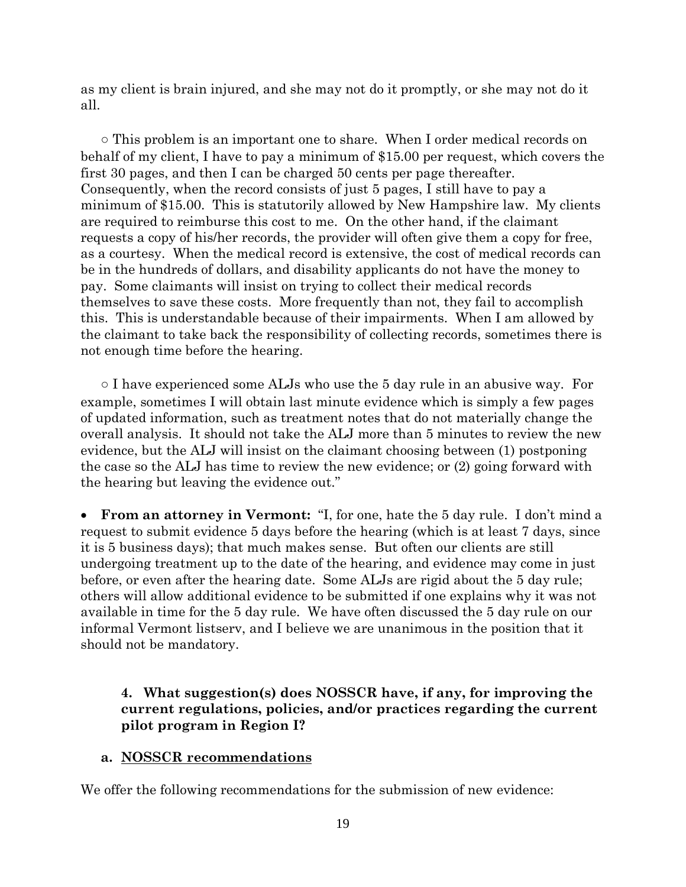as my client is brain injured, and she may not do it promptly, or she may not do it all.

○ This problem is an important one to share. When I order medical records on behalf of my client, I have to pay a minimum of \$15.00 per request, which covers the first 30 pages, and then I can be charged 50 cents per page thereafter. Consequently, when the record consists of just 5 pages, I still have to pay a minimum of \$15.00. This is statutorily allowed by New Hampshire law. My clients are required to reimburse this cost to me. On the other hand, if the claimant requests a copy of his/her records, the provider will often give them a copy for free, as a courtesy. When the medical record is extensive, the cost of medical records can be in the hundreds of dollars, and disability applicants do not have the money to pay. Some claimants will insist on trying to collect their medical records themselves to save these costs. More frequently than not, they fail to accomplish this. This is understandable because of their impairments. When I am allowed by the claimant to take back the responsibility of collecting records, sometimes there is not enough time before the hearing.

○ I have experienced some ALJs who use the 5 day rule in an abusive way. For example, sometimes I will obtain last minute evidence which is simply a few pages of updated information, such as treatment notes that do not materially change the overall analysis. It should not take the ALJ more than 5 minutes to review the new evidence, but the ALJ will insist on the claimant choosing between (1) postponing the case so the ALJ has time to review the new evidence; or (2) going forward with the hearing but leaving the evidence out."

• **From an attorney in Vermont:** "I, for one, hate the 5 day rule. I don't mind a request to submit evidence 5 days before the hearing (which is at least 7 days, since it is 5 business days); that much makes sense. But often our clients are still undergoing treatment up to the date of the hearing, and evidence may come in just before, or even after the hearing date. Some ALJs are rigid about the 5 day rule; others will allow additional evidence to be submitted if one explains why it was not available in time for the 5 day rule. We have often discussed the 5 day rule on our informal Vermont listserv, and I believe we are unanimous in the position that it should not be mandatory.

## **4. What suggestion(s) does NOSSCR have, if any, for improving the current regulations, policies, and/or practices regarding the current pilot program in Region I?**

#### **a. NOSSCR recommendations**

We offer the following recommendations for the submission of new evidence: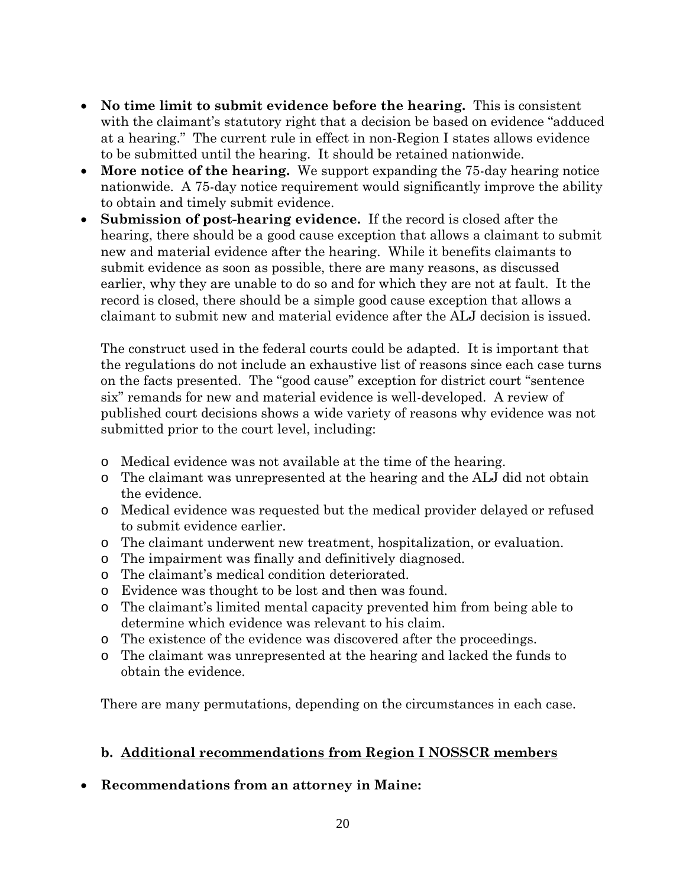- **No time limit to submit evidence before the hearing.** This is consistent with the claimant's statutory right that a decision be based on evidence "adduced at a hearing." The current rule in effect in non-Region I states allows evidence to be submitted until the hearing. It should be retained nationwide.
- **More notice of the hearing.** We support expanding the 75-day hearing notice nationwide. A 75-day notice requirement would significantly improve the ability to obtain and timely submit evidence.
- **Submission of post-hearing evidence.** If the record is closed after the hearing, there should be a good cause exception that allows a claimant to submit new and material evidence after the hearing. While it benefits claimants to submit evidence as soon as possible, there are many reasons, as discussed earlier, why they are unable to do so and for which they are not at fault. It the record is closed, there should be a simple good cause exception that allows a claimant to submit new and material evidence after the ALJ decision is issued.

The construct used in the federal courts could be adapted. It is important that the regulations do not include an exhaustive list of reasons since each case turns on the facts presented. The "good cause" exception for district court "sentence six" remands for new and material evidence is well-developed. A review of published court decisions shows a wide variety of reasons why evidence was not submitted prior to the court level, including:

- o Medical evidence was not available at the time of the hearing.
- o The claimant was unrepresented at the hearing and the ALJ did not obtain the evidence.
- o Medical evidence was requested but the medical provider delayed or refused to submit evidence earlier.
- o The claimant underwent new treatment, hospitalization, or evaluation.
- o The impairment was finally and definitively diagnosed.
- o The claimant's medical condition deteriorated.
- o Evidence was thought to be lost and then was found.
- o The claimant's limited mental capacity prevented him from being able to determine which evidence was relevant to his claim.
- o The existence of the evidence was discovered after the proceedings.
- o The claimant was unrepresented at the hearing and lacked the funds to obtain the evidence.

There are many permutations, depending on the circumstances in each case.

## **b. Additional recommendations from Region I NOSSCR members**

## • **Recommendations from an attorney in Maine:**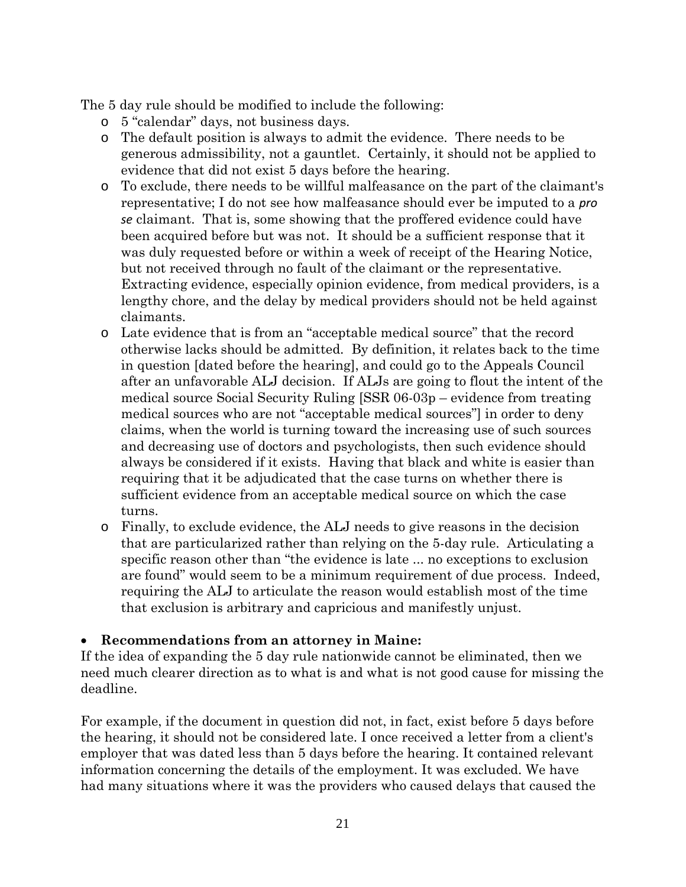The 5 day rule should be modified to include the following:

- o 5 "calendar" days, not business days.
- o The default position is always to admit the evidence. There needs to be generous admissibility, not a gauntlet. Certainly, it should not be applied to evidence that did not exist 5 days before the hearing.
- o To exclude, there needs to be willful malfeasance on the part of the claimant's representative; I do not see how malfeasance should ever be imputed to a *pro se* claimant. That is, some showing that the proffered evidence could have been acquired before but was not. It should be a sufficient response that it was duly requested before or within a week of receipt of the Hearing Notice, but not received through no fault of the claimant or the representative. Extracting evidence, especially opinion evidence, from medical providers, is a lengthy chore, and the delay by medical providers should not be held against claimants.
- o Late evidence that is from an "acceptable medical source" that the record otherwise lacks should be admitted. By definition, it relates back to the time in question [dated before the hearing], and could go to the Appeals Council after an unfavorable ALJ decision. If ALJs are going to flout the intent of the medical source Social Security Ruling [SSR 06-03p – evidence from treating medical sources who are not "acceptable medical sources"] in order to deny claims, when the world is turning toward the increasing use of such sources and decreasing use of doctors and psychologists, then such evidence should always be considered if it exists. Having that black and white is easier than requiring that it be adjudicated that the case turns on whether there is sufficient evidence from an acceptable medical source on which the case turns.
- o Finally, to exclude evidence, the ALJ needs to give reasons in the decision that are particularized rather than relying on the 5-day rule. Articulating a specific reason other than "the evidence is late ... no exceptions to exclusion are found" would seem to be a minimum requirement of due process. Indeed, requiring the ALJ to articulate the reason would establish most of the time that exclusion is arbitrary and capricious and manifestly unjust.

#### • **Recommendations from an attorney in Maine:**

If the idea of expanding the 5 day rule nationwide cannot be eliminated, then we need much clearer direction as to what is and what is not good cause for missing the deadline.

For example, if the document in question did not, in fact, exist before 5 days before the hearing, it should not be considered late. I once received a letter from a client's employer that was dated less than 5 days before the hearing. It contained relevant information concerning the details of the employment. It was excluded. We have had many situations where it was the providers who caused delays that caused the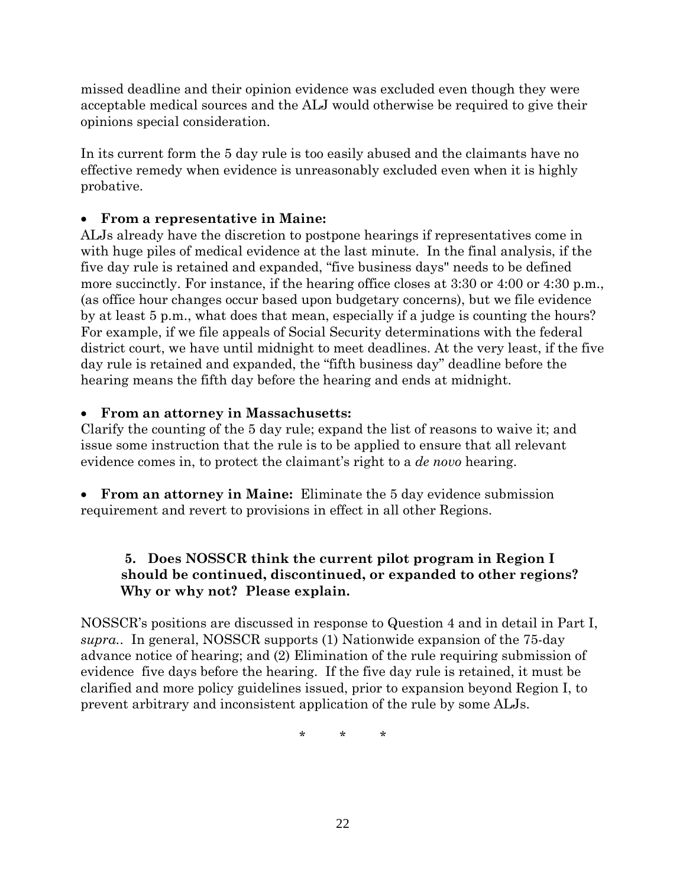missed deadline and their opinion evidence was excluded even though they were acceptable medical sources and the ALJ would otherwise be required to give their opinions special consideration.

In its current form the 5 day rule is too easily abused and the claimants have no effective remedy when evidence is unreasonably excluded even when it is highly probative.

## • **From a representative in Maine:**

ALJs already have the discretion to postpone hearings if representatives come in with huge piles of medical evidence at the last minute. In the final analysis, if the five day rule is retained and expanded, "five business days" needs to be defined more succinctly. For instance, if the hearing office closes at 3:30 or 4:00 or 4:30 p.m., (as office hour changes occur based upon budgetary concerns), but we file evidence by at least 5 p.m., what does that mean, especially if a judge is counting the hours? For example, if we file appeals of Social Security determinations with the federal district court, we have until midnight to meet deadlines. At the very least, if the five day rule is retained and expanded, the "fifth business day" deadline before the hearing means the fifth day before the hearing and ends at midnight.

#### • **From an attorney in Massachusetts:**

Clarify the counting of the 5 day rule; expand the list of reasons to waive it; and issue some instruction that the rule is to be applied to ensure that all relevant evidence comes in, to protect the claimant's right to a *de novo* hearing.

• **From an attorney in Maine:** Eliminate the 5 day evidence submission requirement and revert to provisions in effect in all other Regions.

## **5. Does NOSSCR think the current pilot program in Region I should be continued, discontinued, or expanded to other regions? Why or why not? Please explain.**

NOSSCR's positions are discussed in response to Question 4 and in detail in Part I, *supra.*. In general, NOSSCR supports (1) Nationwide expansion of the 75-day advance notice of hearing; and (2) Elimination of the rule requiring submission of evidence five days before the hearing. If the five day rule is retained, it must be clarified and more policy guidelines issued, prior to expansion beyond Region I, to prevent arbitrary and inconsistent application of the rule by some ALJs.

\* \* \*